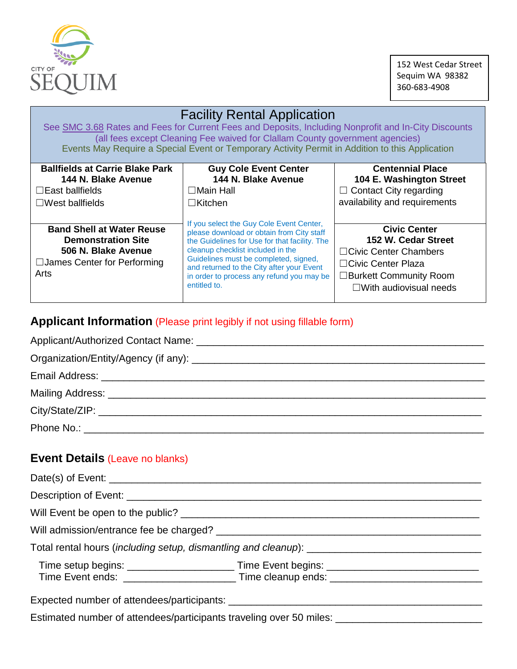

152 West Cedar Street Sequim WA 98382 360-683-4908

| <b>Facility Rental Application</b><br>See SMC 3.68 Rates and Fees for Current Fees and Deposits, Including Nonprofit and In-City Discounts<br>(all fees except Cleaning Fee waived for Clallam County government agencies)<br>Events May Require a Special Event or Temporary Activity Permit in Addition to this Application |                                                                                                                                                                                                                                                                                                                                |                                                                                                                                                          |  |  |
|-------------------------------------------------------------------------------------------------------------------------------------------------------------------------------------------------------------------------------------------------------------------------------------------------------------------------------|--------------------------------------------------------------------------------------------------------------------------------------------------------------------------------------------------------------------------------------------------------------------------------------------------------------------------------|----------------------------------------------------------------------------------------------------------------------------------------------------------|--|--|
| <b>Ballfields at Carrie Blake Park</b><br>144 N. Blake Avenue<br>$\Box$ East ballfields<br>$\Box$ West ballfields                                                                                                                                                                                                             | <b>Guy Cole Event Center</b><br>144 N. Blake Avenue<br>$\Box$ Main Hall<br>$\Box$ Kitchen                                                                                                                                                                                                                                      | <b>Centennial Place</b><br>104 E. Washington Street<br>$\Box$ Contact City regarding<br>availability and requirements                                    |  |  |
| <b>Band Shell at Water Reuse</b><br><b>Demonstration Site</b><br>506 N. Blake Avenue<br>$\Box$ James Center for Performing<br>Arts                                                                                                                                                                                            | If you select the Guy Cole Event Center,<br>please download or obtain from City staff<br>the Guidelines for Use for that facility. The<br>cleanup checklist included in the<br>Guidelines must be completed, signed,<br>and returned to the City after your Event<br>in order to process any refund you may be<br>entitled to. | <b>Civic Center</b><br>152 W. Cedar Street<br>□ Civic Center Chambers<br>□Civic Center Plaza<br>□Burkett Community Room<br>$\Box$ With audiovisual needs |  |  |

# **Applicant Information** (Please print legibly if not using fillable form)

| <b>Event Details (Leave no blanks)</b>                                                              |  |  |
|-----------------------------------------------------------------------------------------------------|--|--|
|                                                                                                     |  |  |
|                                                                                                     |  |  |
|                                                                                                     |  |  |
|                                                                                                     |  |  |
|                                                                                                     |  |  |
|                                                                                                     |  |  |
|                                                                                                     |  |  |
|                                                                                                     |  |  |
| Estimated number of attendees/participants traveling over 50 miles: _______________________________ |  |  |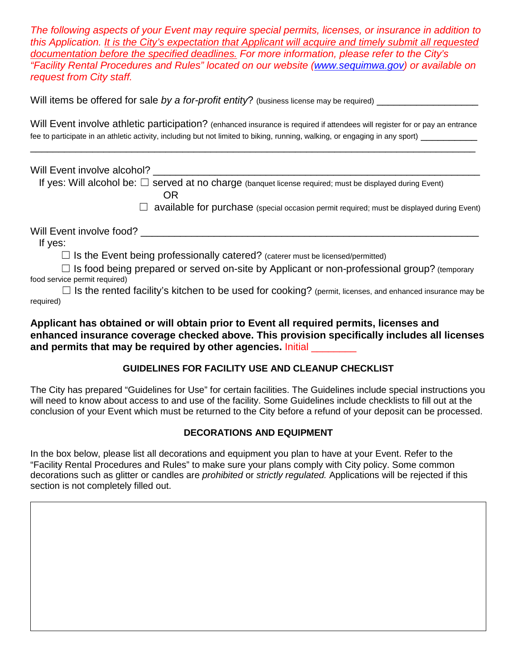*The following aspects of your Event may require special permits, licenses, or insurance in addition to this Application. It is the City's expectation that Applicant will acquire and timely submit all requested documentation before the specified deadlines. For more information, please refer to the City's "Facility Rental Procedures and Rules" located on our website [\(www.sequimwa.gov\)](http://www.sequimwa.gov/) or available on request from City staff.* 

Will items be offered for sale *by a for-profit entity*? (business license may be required)

Will Event involve athletic participation? (enhanced insurance is required if attendees will register for or pay an entrance fee to participate in an athletic activity, including but not limited to biking, running, walking, or engaging in any sport)

\_\_\_\_\_\_\_\_\_\_\_\_\_\_\_\_\_\_\_\_\_\_\_\_\_\_\_\_\_\_\_\_\_\_\_\_\_\_\_\_\_\_\_\_\_\_\_\_\_\_\_\_\_\_\_\_\_\_\_\_\_\_\_\_\_\_\_\_\_\_\_\_\_\_\_\_\_\_\_

Will Event involve alcohol? If yes: Will alcohol be:  $\Box$  served at no charge (banquet license required; must be displayed during Event) **OR** Service Service Service Service Service Service Service Service Service Service Service Service Service Service Service Service Service Service Service Service Service Service Service Service Service Service Service S  $\Box$  available for purchase (special occasion permit required; must be displayed during Event) Will Event involve food? **We are all that involve food?**  $\blacksquare$  If yes:  $\Box$  Is the Event being professionally catered? (caterer must be licensed/permitted)  $\Box$  Is food being prepared or served on-site by Applicant or non-professional group? (temporary food service permit required)  $\Box$  Is the rented facility's kitchen to be used for cooking? (permit, licenses, and enhanced insurance may be required)

## **Applicant has obtained or will obtain prior to Event all required permits, licenses and enhanced insurance coverage checked above. This provision specifically includes all licenses**  and permits that may be required by other agencies. Initial

## **GUIDELINES FOR FACILITY USE AND CLEANUP CHECKLIST**

The City has prepared "Guidelines for Use" for certain facilities. The Guidelines include special instructions you will need to know about access to and use of the facility. Some Guidelines include checklists to fill out at the conclusion of your Event which must be returned to the City before a refund of your deposit can be processed.

## **DECORATIONS AND EQUIPMENT**

In the box below, please list all decorations and equipment you plan to have at your Event. Refer to the "Facility Rental Procedures and Rules" to make sure your plans comply with City policy. Some common decorations such as glitter or candles are *prohibited* or *strictly regulated.* Applications will be rejected if this section is not completely filled out.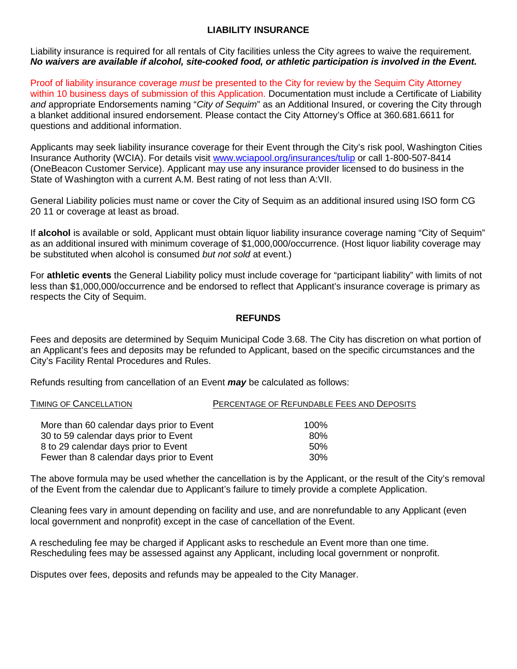#### **LIABILITY INSURANCE**

Liability insurance is required for all rentals of City facilities unless the City agrees to waive the requirement. *No waivers are available if alcohol, site-cooked food, or athletic participation is involved in the Event.*

Proof of liability insurance coverage *must* be presented to the City for review by the Sequim City Attorney within 10 business days of submission of this Application. Documentation must include a Certificate of Liability *and* appropriate Endorsements naming "*City of Sequim*" as an Additional Insured, or covering the City through a blanket additional insured endorsement. Please contact the City Attorney's Office at 360.681.6611 for questions and additional information.

Applicants may seek liability insurance coverage for their Event through the City's risk pool, Washington Cities Insurance Authority (WCIA). For details visit [www.wciapool.org/insurances/tulip](http://www.wciapool.org/insurances/tulip) or call 1-800-507-8414 (OneBeacon Customer Service). Applicant may use any insurance provider licensed to do business in the State of Washington with a current A.M. Best rating of not less than A:VII.

General Liability policies must name or cover the City of Sequim as an additional insured using ISO form CG 20 11 or coverage at least as broad.

If **alcohol** is available or sold, Applicant must obtain liquor liability insurance coverage naming "City of Sequim" as an additional insured with minimum coverage of \$1,000,000/occurrence. (Host liquor liability coverage may be substituted when alcohol is consumed *but not sold* at event.)

For **athletic events** the General Liability policy must include coverage for "participant liability" with limits of not less than \$1,000,000/occurrence and be endorsed to reflect that Applicant's insurance coverage is primary as respects the City of Sequim.

#### **REFUNDS**

Fees and deposits are determined by Sequim Municipal Code 3.68. The City has discretion on what portion of an Applicant's fees and deposits may be refunded to Applicant, based on the specific circumstances and the City's Facility Rental Procedures and Rules.

Refunds resulting from cancellation of an Event *may* be calculated as follows:

| TIMING OF CANCELLATION | PERCENTAGE OF REFUNDABLE FEES AND DEPOSITS |
|------------------------|--------------------------------------------|
|                        |                                            |

| More than 60 calendar days prior to Event | 100% |
|-------------------------------------------|------|
| 30 to 59 calendar days prior to Event     | 80%  |
| 8 to 29 calendar days prior to Event      | .50% |
| Fewer than 8 calendar days prior to Event | .30% |

The above formula may be used whether the cancellation is by the Applicant, or the result of the City's removal of the Event from the calendar due to Applicant's failure to timely provide a complete Application.

Cleaning fees vary in amount depending on facility and use, and are nonrefundable to any Applicant (even local government and nonprofit) except in the case of cancellation of the Event.

A rescheduling fee may be charged if Applicant asks to reschedule an Event more than one time. Rescheduling fees may be assessed against any Applicant, including local government or nonprofit.

Disputes over fees, deposits and refunds may be appealed to the City Manager.